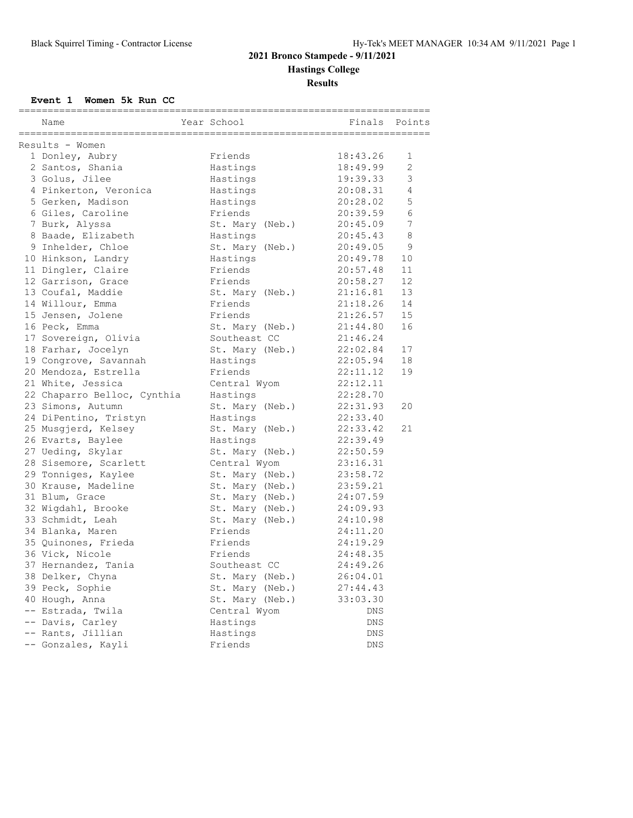# **2021 Bronco Stampede - 9/11/2021 Hastings College Results**

### **Event 1 Women 5k Run CC**

| Name<br>===================== | Year School     | Finals      | Points |
|-------------------------------|-----------------|-------------|--------|
| Results - Women               |                 |             |        |
| 1 Donley, Aubry               | Friends         | 18:43.26    | 1      |
| 2 Santos, Shania              | Hastings        | 18:49.99    | 2      |
| 3 Golus, Jilee                | Hastings        | 19:39.33    | 3      |
| 4 Pinkerton, Veronica         | Hastings        | 20:08.31    | 4      |
| 5 Gerken, Madison             | Hastings        | 20:28.02    | 5      |
| 6 Giles, Caroline             | Friends         | 20:39.59    | 6      |
| 7 Burk, Alyssa                | St. Mary (Neb.) | 20:45.09    | 7      |
| 8 Baade, Elizabeth            | Hastings        | 20:45.43    | 8      |
| 9 Inhelder, Chloe             | St. Mary (Neb.) | 20:49.05    | 9      |
| 10 Hinkson, Landry            | Hastings        | 20:49.78    | 10     |
| 11 Dingler, Claire            | Friends         | 20:57.48    | 11     |
| 12 Garrison, Grace            | Friends         | 20:58.27    | 12     |
| 13 Coufal, Maddie             | St. Mary (Neb.) | 21:16.81    | 13     |
| 14 Willour, Emma              | Friends         | 21:18.26    | 14     |
| 15 Jensen, Jolene             | Friends         | 21:26.57    | 15     |
| 16 Peck, Emma                 | St. Mary (Neb.) | 21:44.80    | 16     |
| 17 Sovereign, Olivia          | Southeast CC    | 21:46.24    |        |
| 18 Farhar, Jocelyn            | St. Mary (Neb.) | 22:02.84    | 17     |
| 19 Congrove, Savannah         | Hastings        | 22:05.94    | 18     |
| 20 Mendoza, Estrella          | Friends         | 22:11.12    | 19     |
| 21 White, Jessica             | Central Wyom    | 22:12.11    |        |
| 22 Chaparro Belloc, Cynthia   | Hastings        | 22:28.70    |        |
| 23 Simons, Autumn             | St. Mary (Neb.) | 22:31.93    | 20     |
| 24 DiPentino, Tristyn         | Hastings        | 22:33.40    |        |
| 25 Musgjerd, Kelsey           | St. Mary (Neb.) | 22:33.42    | 21     |
| 26 Evarts, Baylee             | Hastings        | 22:39.49    |        |
| 27 Ueding, Skylar             | St. Mary (Neb.) | 22:50.59    |        |
| 28 Sisemore, Scarlett         | Central Wyom    | 23:16.31    |        |
| 29 Tonniges, Kaylee           | St. Mary (Neb.) | 23:58.72    |        |
| 30 Krause, Madeline           | St. Mary (Neb.) | 23:59.21    |        |
| 31 Blum, Grace                | St. Mary (Neb.) | 24:07.59    |        |
| 32 Wigdahl, Brooke            | St. Mary (Neb.) | 24:09.93    |        |
| 33 Schmidt, Leah              | St. Mary (Neb.) | 24:10.98    |        |
| 34 Blanka, Maren              | Friends         | 24:11.20    |        |
| 35 Quinones, Frieda           | Friends         | 24:19.29    |        |
| 36 Vick, Nicole               | Friends         | 24:48.35    |        |
| 37 Hernandez, Tania           | Southeast CC    | 24:49.26    |        |
| 38 Delker, Chyna              | St. Mary (Neb.) | 26:04.01    |        |
| 39 Peck, Sophie               | St. Mary (Neb.) | 27:44.43    |        |
| 40 Hough, Anna                | St. Mary (Neb.) | 33:03.30    |        |
| -- Estrada, Twila             | Central Wyom    | <b>DNS</b>  |        |
| -- Davis, Carley              | Hastings        | ${\rm DNS}$ |        |
| -- Rants, Jillian             | Hastings        | DNS         |        |
| -- Gonzales, Kayli            | Friends         | DNS         |        |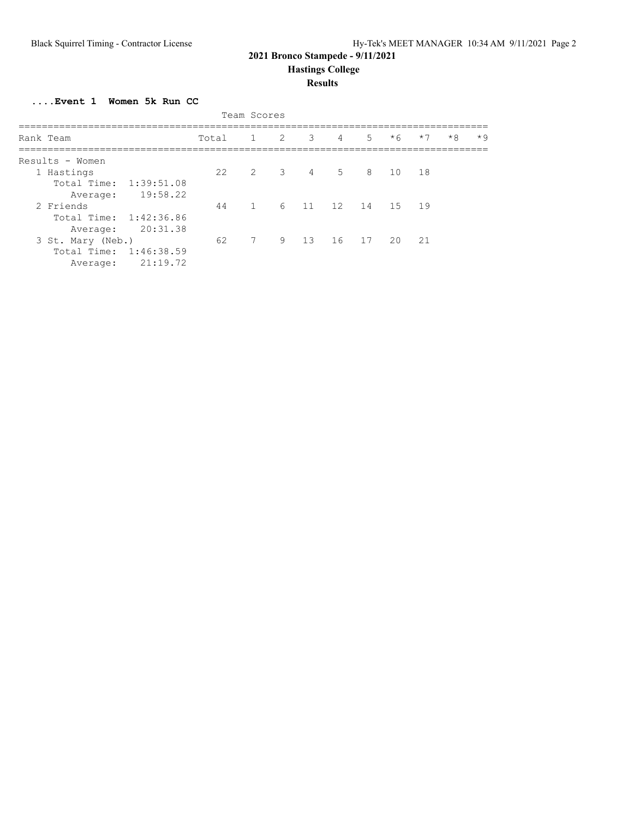## **2021 Bronco Stampede - 9/11/2021**

 **Hastings College**

#### **Results**

**....Event 1 Women 5k Run CC**

| Team Scores            |       |                 |  |         |                |                |                  |      |      |      |
|------------------------|-------|-----------------|--|---------|----------------|----------------|------------------|------|------|------|
| Rank Team              | Total | 1 2             |  | 3       | $\overline{4}$ | 5 <sup>7</sup> | $*6$             | $*7$ | $*8$ | $*9$ |
| Results - Women        |       |                 |  |         |                |                |                  |      |      |      |
| 1 Hastings             | 22    | 2 3 4 5         |  |         |                |                | 8 10 18          |      |      |      |
| Total Time: 1:39:51.08 |       |                 |  |         |                |                |                  |      |      |      |
| 19:58.22<br>Average:   |       |                 |  |         |                |                |                  |      |      |      |
| 2 Friends              | 44    | $\mathbf{1}$    |  |         |                |                | 6 11 12 14 15 19 |      |      |      |
| Total Time: 1:42:36.86 |       |                 |  |         |                |                |                  |      |      |      |
| 20:31.38<br>Average:   |       |                 |  |         |                |                |                  |      |      |      |
| 3 St. Mary (Neb.)      | 62    | $7\phantom{.0}$ |  | 9 13 16 |                | 17             | 20               | 21   |      |      |
| Total Time: 1:46:38.59 |       |                 |  |         |                |                |                  |      |      |      |
| 21:19.72<br>Average:   |       |                 |  |         |                |                |                  |      |      |      |